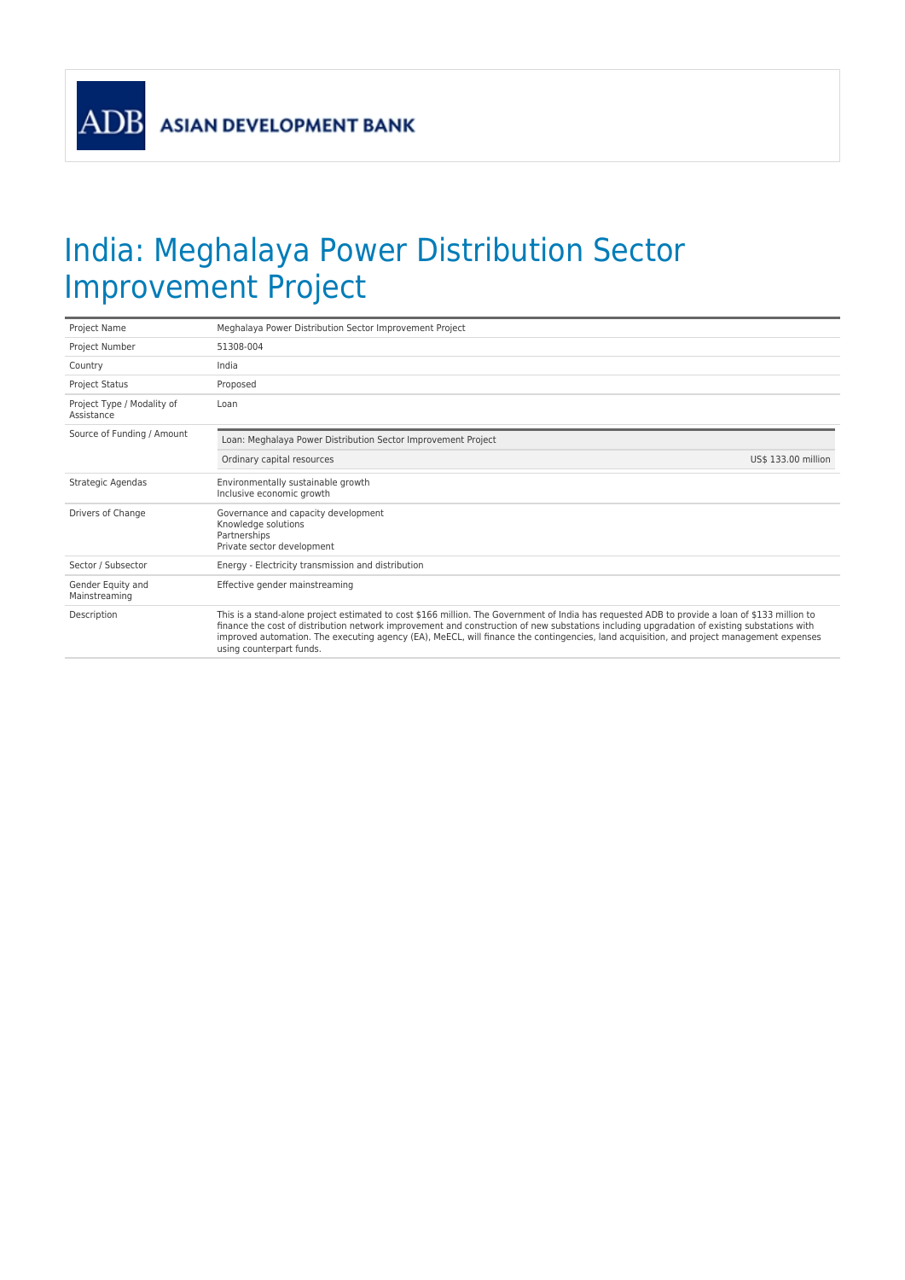## India: Meghalaya Power Distribution Sector Improvement Project

| Project Name                             | Meghalaya Power Distribution Sector Improvement Project                                                                                                                                                                                                                                                                                                                                                                                                               |  |
|------------------------------------------|-----------------------------------------------------------------------------------------------------------------------------------------------------------------------------------------------------------------------------------------------------------------------------------------------------------------------------------------------------------------------------------------------------------------------------------------------------------------------|--|
| Project Number                           | 51308-004                                                                                                                                                                                                                                                                                                                                                                                                                                                             |  |
| Country                                  | India                                                                                                                                                                                                                                                                                                                                                                                                                                                                 |  |
| <b>Project Status</b>                    | Proposed                                                                                                                                                                                                                                                                                                                                                                                                                                                              |  |
| Project Type / Modality of<br>Assistance | Loan                                                                                                                                                                                                                                                                                                                                                                                                                                                                  |  |
| Source of Funding / Amount               | Loan: Meghalaya Power Distribution Sector Improvement Project                                                                                                                                                                                                                                                                                                                                                                                                         |  |
|                                          | Ordinary capital resources<br>US\$ 133.00 million                                                                                                                                                                                                                                                                                                                                                                                                                     |  |
| Strategic Agendas                        | Environmentally sustainable growth<br>Inclusive economic growth                                                                                                                                                                                                                                                                                                                                                                                                       |  |
| Drivers of Change                        | Governance and capacity development<br>Knowledge solutions<br>Partnerships<br>Private sector development                                                                                                                                                                                                                                                                                                                                                              |  |
| Sector / Subsector                       | Energy - Electricity transmission and distribution                                                                                                                                                                                                                                                                                                                                                                                                                    |  |
| Gender Equity and<br>Mainstreaming       | Effective gender mainstreaming                                                                                                                                                                                                                                                                                                                                                                                                                                        |  |
| Description                              | This is a stand-alone project estimated to cost \$166 million. The Government of India has requested ADB to provide a loan of \$133 million to<br>finance the cost of distribution network improvement and construction of new substations including upgradation of existing substations with<br>improved automation. The executing agency (EA), MeECL, will finance the contingencies, land acquisition, and project management expenses<br>using counterpart funds. |  |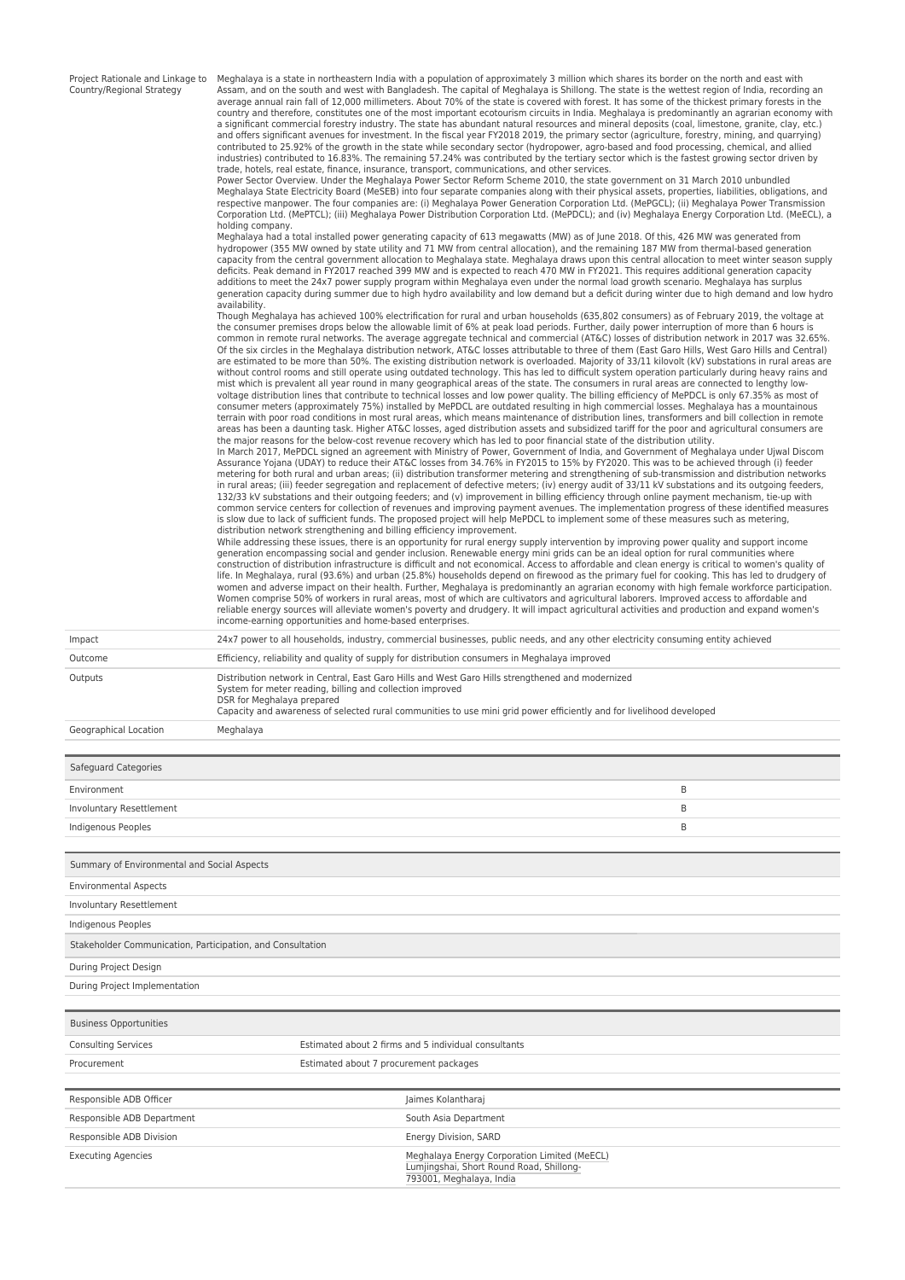| Project Rationale and Linkage to |  |  |
|----------------------------------|--|--|
| Country/Regional Strategy        |  |  |

Meghalaya is a state in northeastern India with a population of approximately 3 million which shares its border on the north and east with Assam, and on the south and west with Bangladesh. The capital of Meghalaya is Shillong. The state is the wettest region of India, recording an average annual rain fall of 12,000 millimeters. About 70% of the state is covered with forest. It has some of the thickest primary forests in the country and therefore, constitutes one of the most important ecotourism circuits in India. Meghalaya is predominantly an agrarian economy with<br>a significant commercial forestry industry. The state has abundant natural reso and offers significant avenues for investment. In the fiscal year FY2018 2019, the primary sector (agriculture, forestry, mining, and quarrying) contributed to 25.92% of the growth in the state while secondary sector (hydropower, agro-based and food processing, chemical, and allied<br>industries) contributed to 16.83%. The remaining 57.24% was contributed by the terti trade, hotels, real estate, finance, insurance, transport, communications, and other services.

Power Sector Overview. Under the Meghalaya Power Sector Reform Scheme 2010, the state government on 31 March 2010 unbundled<br>Meghalaya State Electricity Board (MeSEB) into four separate companies along with their physical a respective manpower. The four companies are: (i) Meghalaya Power Generation Corporation Ltd. (MePGCL); (ii) Meghalaya Power Transmission<br>Corporation Ltd. (MePTCL); (iii) Meghalaya Power Distribution Corporation Ltd. (MePDC holding company.

Meghalaya had a total installed power generating capacity of 613 megawatts (MW) as of June 2018. Of this, 426 MW was generated from<br>hydropower (355 MW owned by state utility and 71 MW from central allocation), and the rema capacity from the central government allocation to Meghalaya state. Meghalaya draws upon this central allocation to meet winter season supply deficits. Peak demand in FY2017 reached 399 MW and is expected to reach 470 MW in FY2021. This requires additional generation capacity<br>additions to meet the 24x7 power supply program within Meghalaya even under the normal generation capacity during summer due to high hydro availability and low demand but a deficit during winter due to high demand and low hydro availability.

Though Meghalaya has achieved 100% electrification for rural and urban households (635,802 consumers) as of February 2019, the voltage at the consumer premises drops below the allowable limit of 6% at peak load periods. Further, daily power interruption of more than 6 hours is<br>common in remote rural networks. The average aggregate technical and commercial (A are estimated to be more than 50%. The existing distribution network is overloaded. Majority of 33/11 kilovolt (kV) substations in rural areas are<br>without control rooms and still operate using outdated technology. This has voltage distribution lines that contribute to technical losses and low power quality. The billing efficiency of MePDCL is only 67.35% as most of<br>consumer meters (approximately 75%) installed by MePDCL are outdated resultin terrain with poor road conditions in most rural areas, which means maintenance of distribution lines, transformers and bill collection in remote<br>areas has been a daunting task. Higher AT&C losses, aged distribution assets

In March 2017, MePDCL signed an agreement with Ministry of Power, Government of India, and Government of Meghalaya under Ujwal Discom<br>Assurance Yojana (UDAY) to reduce their AT&C losses from 34.76% in FY2015 to 15% by FY20 in rural areas; (iii) feeder segregation and replacement of defective meters; (iv) energy audit of 33/11 kV substations and its outgoing feeders, 132/33 kV substations and their outgoing feeders; and (v) improvement in billing efficiency through online payment mechanism, tie-up with<br>common service centers for collection of revenues and improving payment avenues. The is slow due to lack of sufficient funds. The proposed project will help MePDCL to implement some of these measures such as metering, distribution network strengthening and billing efficiency improvement. While addressing these issues, there is an opportunity for rural energy supply intervention by improving power quality and support income

generation encompassing social and gender inclusion. Renewable energy mini grids can be an ideal option for rural communities where<br>construction of distribution infrastructure is difficult and not economical. Access to aff life. In Meghalaya, rural (93.6%) and urban (25.8%) households depend on firewood as the primary fuel for cooking. This has led to drudgery of women and adverse impact on their health. Further, Meghalaya is predominantly an agrarian economy with high female workforce participation.<br>Women comprise 50% of workers in rural areas, most of which are cultivators and ag reliable energy sources will alleviate women's poverty and drudgery. It will impact agricultural activities and production and expand women's income-earning opportunities and home-based enterprises.

| Impact  | 24x7 power to all households, industry, commercial businesses, public needs, and any other electricity consuming entity achieved                                                                                                                                                                                    |
|---------|---------------------------------------------------------------------------------------------------------------------------------------------------------------------------------------------------------------------------------------------------------------------------------------------------------------------|
| Outcome | Efficiency, reliability and quality of supply for distribution consumers in Meghalaya improved                                                                                                                                                                                                                      |
| Outputs | Distribution network in Central, East Garo Hills and West Garo Hills strengthened and modernized<br>System for meter reading, billing and collection improved<br>DSR for Meghalaya prepared<br>Capacity and awareness of selected rural communities to use mini grid power efficiently and for livelihood developed |

Geographical Location Meghalaya

| Safeguard Categories                                       |                                                      |   |
|------------------------------------------------------------|------------------------------------------------------|---|
| Environment                                                |                                                      | B |
| Involuntary Resettlement                                   |                                                      | B |
| Indigenous Peoples                                         |                                                      | B |
|                                                            |                                                      |   |
| Summary of Environmental and Social Aspects                |                                                      |   |
| <b>Environmental Aspects</b>                               |                                                      |   |
| Involuntary Resettlement                                   |                                                      |   |
| Indigenous Peoples                                         |                                                      |   |
| Stakeholder Communication, Participation, and Consultation |                                                      |   |
| During Project Design                                      |                                                      |   |
| During Project Implementation                              |                                                      |   |
|                                                            |                                                      |   |
| <b>Business Opportunities</b>                              |                                                      |   |
| <b>Consulting Services</b>                                 | Estimated about 2 firms and 5 individual consultants |   |
| Procurement                                                | Estimated about 7 procurement packages               |   |
|                                                            |                                                      |   |
| Responsible ADB Officer                                    | Jaimes Kolantharaj                                   |   |
| Responsible ADB Department                                 | South Asia Department                                |   |
| Responsible ADB Division                                   | Energy Division, SARD                                |   |
| <b>Executing Agencies</b>                                  | Meghalaya Energy Corporation Limited (MeECL)         |   |

Lumjingshai, Short Round Road, Shillong-

793001, Meghalaya, India